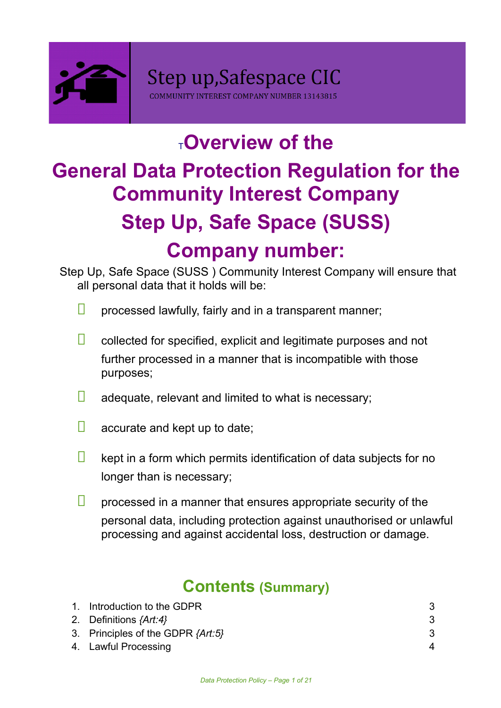

# [T](http://www.bigsocsupport.org.uk/policies)**Overview of the General Data Protection Regulation for the Community Interest Company Step Up, Safe Space (SUSS) Company number:**

Step Up, Safe Space (SUSS ) Community Interest Company will ensure that all personal data that it holds will be:

- $\Box$ processed lawfully, fairly and in a transparent manner;
- $\Box$ collected for specified, explicit and legitimate purposes and not further processed in a manner that is incompatible with those purposes;
- П adequate, relevant and limited to what is necessary;
- $\Box$ accurate and kept up to date;
- $\Box$ kept in a form which permits identification of data subjects for no longer than is necessary;
- $\Box$ processed in a manner that ensures appropriate security of the personal data, including protection against unauthorised or unlawful processing and against accidental loss, destruction or damage.

# **Contents (Summary)**

| 1. Introduction to the GDPR       |   |
|-----------------------------------|---|
| 2. Definitions {Art:4}            |   |
| 3. Principles of the GDPR {Art:5} |   |
| 4. Lawful Processing              | 4 |
|                                   |   |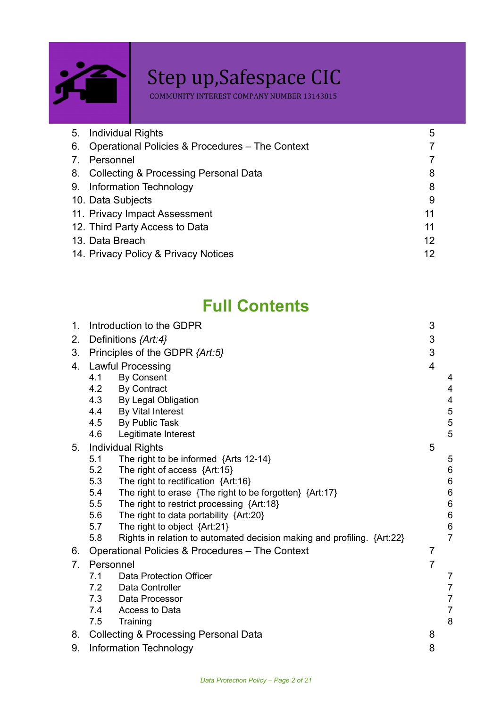

# Step up, Safespace CIC<br>
COMMUNITY INTEREST COMPANY NUMBER 13143815

| <b>Individual Rights</b><br>5.                        | 5               |  |
|-------------------------------------------------------|-----------------|--|
| Operational Policies & Procedures - The Context<br>6. | 7               |  |
| Personnel                                             | 7               |  |
| 8. Collecting & Processing Personal Data              | 8               |  |
| Information Technology<br>9.                          | 8               |  |
| 10. Data Subjects<br>9                                |                 |  |
| 11. Privacy Impact Assessment<br>11                   |                 |  |
| 12. Third Party Access to Data                        | 11              |  |
| 13. Data Breach                                       | 12 <sup>°</sup> |  |
| 14. Privacy Policy & Privacy Notices                  | 12              |  |

# **Full Contents**

| 1.             | 3<br>Introduction to the GDPR  |                                                                         |                |                |
|----------------|--------------------------------|-------------------------------------------------------------------------|----------------|----------------|
| 2.             | Definitions {Art:4}            |                                                                         |                |                |
| 3 <sub>1</sub> | Principles of the GDPR {Art:5} |                                                                         |                |                |
| 4.             | <b>Lawful Processing</b>       |                                                                         |                |                |
|                | 4.1                            | <b>By Consent</b>                                                       |                | 4              |
|                | 4.2                            | <b>By Contract</b>                                                      |                | 4              |
|                | 4.3                            | By Legal Obligation                                                     |                | 4              |
|                | 4.4                            | By Vital Interest                                                       |                | 5              |
|                | 4.5                            | By Public Task                                                          |                | 5              |
|                | 4.6                            | Legitimate Interest                                                     |                | 5              |
| 5.             |                                | <b>Individual Rights</b>                                                | 5              |                |
|                | 5.1                            | The right to be informed $\{Arts\ 12-14\}$                              |                | 5              |
|                | 5.2                            | The right of access {Art:15}                                            |                | $\,6$          |
|                | 5.3                            | The right to rectification {Art:16}                                     |                | $\,6\,$        |
|                | 5.4                            | The right to erase $\{The right to be forgotten\} \{Art: 17\}$          |                | $\,6$          |
|                | 5.5                            | The right to restrict processing {Art:18}                               |                | $\,6$          |
|                | 5.6                            | The right to data portability $\{Art:20\}$                              |                | $\,6$          |
|                | 5.7                            | The right to object {Art:21}                                            |                | $\,6$          |
|                | 5.8                            | Rights in relation to automated decision making and profiling. {Art:22} |                | $\overline{7}$ |
| 6.             |                                | Operational Policies & Procedures - The Context                         | $\overline{7}$ |                |
| 7 <sub>1</sub> | Personnel                      |                                                                         | $\overline{7}$ |                |
|                | 7.1                            | <b>Data Protection Officer</b>                                          |                | 7              |
|                | 7.2                            | Data Controller                                                         |                | $\overline{7}$ |
|                | 7.3                            | Data Processor                                                          |                | $\overline{7}$ |
|                | 7.4                            | Access to Data                                                          |                | $\overline{7}$ |
|                | 7.5                            | Training                                                                |                | 8              |
| 8.             |                                | <b>Collecting &amp; Processing Personal Data</b>                        | 8              |                |
| 9.             |                                | Information Technology                                                  | 8              |                |
|                |                                |                                                                         |                |                |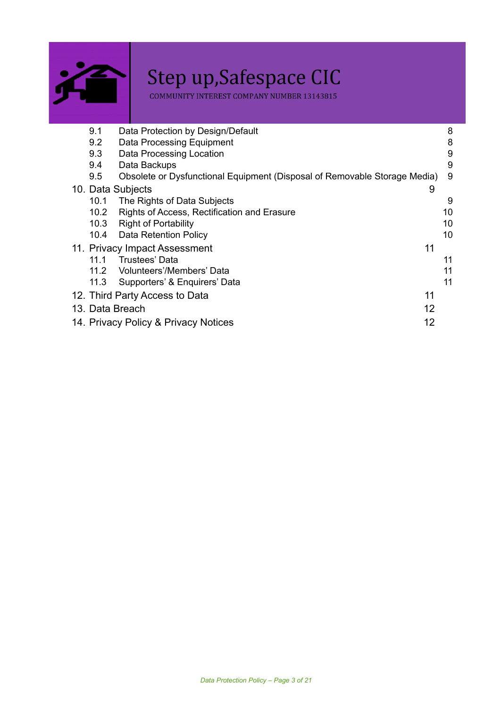

# Step up, Safespace CIC<br>
COMMUNITY INTEREST COMPANY NUMBER 13143815

| 9.1                                        | Data Protection by Design/Default                                         |    | 8  |
|--------------------------------------------|---------------------------------------------------------------------------|----|----|
| 9.2                                        | Data Processing Equipment                                                 |    | 8  |
| 9.3                                        | Data Processing Location                                                  |    | 9  |
| 9.4                                        | Data Backups                                                              |    | 9  |
| 9.5                                        | Obsolete or Dysfunctional Equipment (Disposal of Removable Storage Media) |    | 9  |
|                                            | 10. Data Subjects                                                         | 9  |    |
| 10.1                                       | The Rights of Data Subjects                                               |    | 9  |
| 10.2                                       | Rights of Access, Rectification and Erasure                               |    | 10 |
| 10.3                                       | <b>Right of Portability</b>                                               |    | 10 |
|                                            | 10.4 Data Retention Policy                                                |    | 10 |
|                                            | 11. Privacy Impact Assessment                                             | 11 |    |
| 11.1                                       | Trustees' Data                                                            |    | 11 |
| 11.2                                       | Volunteers'/Members' Data                                                 |    | 11 |
| 11.3                                       | Supporters' & Enquirers' Data                                             |    | 11 |
|                                            | 12. Third Party Access to Data                                            | 11 |    |
| 12<br>13. Data Breach                      |                                                                           |    |    |
| 12<br>14. Privacy Policy & Privacy Notices |                                                                           |    |    |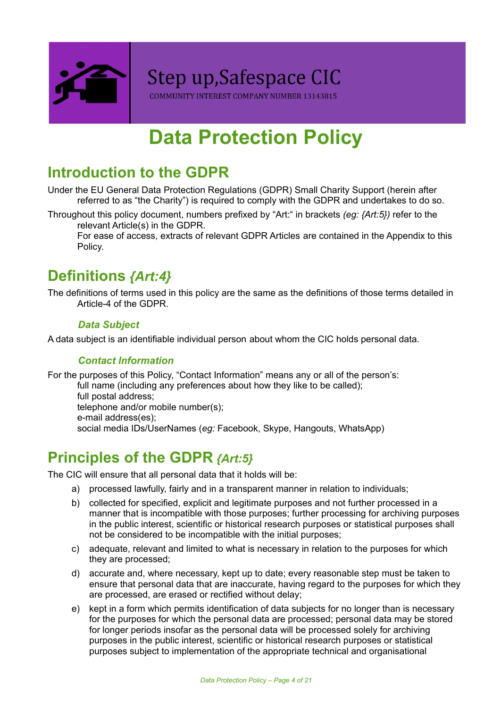

COMMUNITY INTEREST COMPANY NUMBER 13143815

# **Data Protection Policy**

# <span id="page-3-0"></span>**Introduction to the GDPR**

Under the EU General Data Protection Regulations (GDPR) Small Charity Support (herein after referred to as "the Charity") is required to comply with the GDPR and undertakes to do so.

Throughout this policy document, numbers prefixed by "Art:" in brackets *(eg: {Art:5})* refer to the relevant Article(s) in the GDPR.

For ease of access, extracts of relevant GDPR Articles are contained in the Appendix to this Policy.

# <span id="page-3-1"></span>**Definitions** *{Art:4}*

The definitions of terms used in this policy are the same as the definitions of those terms detailed in Article-4 of the GDPR.

#### *Data Subject*

A data subject is an identifiable individual person about whom the CIC holds personal data.

#### *Contact Information*

For the purposes of this Policy, "Contact Information" means any or all of the person's:

full name (including any preferences about how they like to be called); full postal address; telephone and/or mobile number(s); e-mail address(es); social media IDs/UserNames (*eg:* Facebook, Skype, Hangouts, WhatsApp)

# <span id="page-3-2"></span>**Principles of the GDPR** *{Art:5}*

The CIC will ensure that all personal data that it holds will be:

- a) processed lawfully, fairly and in a transparent manner in relation to individuals;
- b) collected for specified, explicit and legitimate purposes and not further processed in a manner that is incompatible with those purposes; further processing for archiving purposes in the public interest, scientific or historical research purposes or statistical purposes shall not be considered to be incompatible with the initial purposes;
- c) adequate, relevant and limited to what is necessary in relation to the purposes for which they are processed;
- d) accurate and, where necessary, kept up to date; every reasonable step must be taken to ensure that personal data that are inaccurate, having regard to the purposes for which they are processed, are erased or rectified without delay;
- e) kept in a form which permits identification of data subjects for no longer than is necessary for the purposes for which the personal data are processed; personal data may be stored for longer periods insofar as the personal data will be processed solely for archiving purposes in the public interest, scientific or historical research purposes or statistical purposes subject to implementation of the appropriate technical and organisational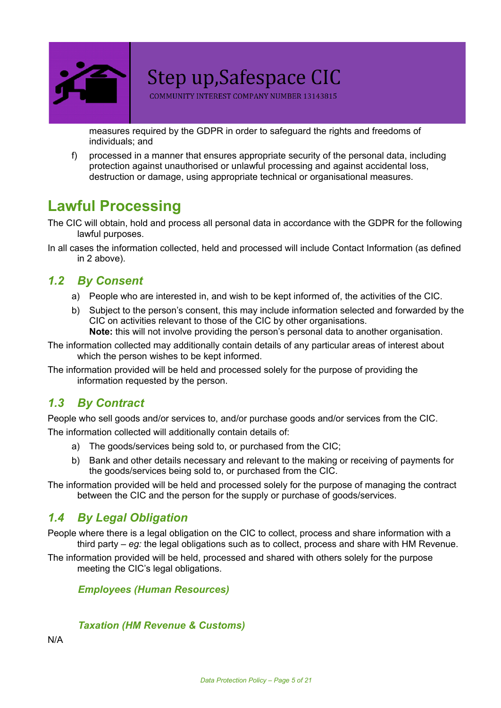

COMMUNITY INTEREST COMPANY NUMBER 13143815

measures required by the GDPR in order to safeguard the rights and freedoms of individuals; and

f) processed in a manner that ensures appropriate security of the personal data, including protection against unauthorised or unlawful processing and against accidental loss, destruction or damage, using appropriate technical or organisational measures.

# <span id="page-4-0"></span>**Lawful Processing**

The CIC will obtain, hold and process all personal data in accordance with the GDPR for the following lawful purposes.

In all cases the information collected, held and processed will include Contact Information (as defined in 2 above).

#### <span id="page-4-1"></span>*1.2 By Consent*

- a) People who are interested in, and wish to be kept informed of, the activities of the CIC.
- b) Subject to the person's consent, this may include information selected and forwarded by the CIC on activities relevant to those of the CIC by other organisations. **Note:** this will not involve providing the person's personal data to another organisation.

The information collected may additionally contain details of any particular areas of interest about which the person wishes to be kept informed.

The information provided will be held and processed solely for the purpose of providing the information requested by the person.

#### <span id="page-4-2"></span>*1.3 By Contract*

People who sell goods and/or services to, and/or purchase goods and/or services from the CIC.

The information collected will additionally contain details of:

- a) The goods/services being sold to, or purchased from the CIC;
- b) Bank and other details necessary and relevant to the making or receiving of payments for the goods/services being sold to, or purchased from the CIC.

The information provided will be held and processed solely for the purpose of managing the contract between the CIC and the person for the supply or purchase of goods/services.

#### <span id="page-4-3"></span>*1.4 By Legal Obligation*

People where there is a legal obligation on the CIC to collect, process and share information with a third party – *eg:* the legal obligations such as to collect, process and share with HM Revenue.

The information provided will be held, processed and shared with others solely for the purpose meeting the CIC's legal obligations.

*Employees (Human Resources)*

#### *Taxation (HM Revenue & Customs)*

N/A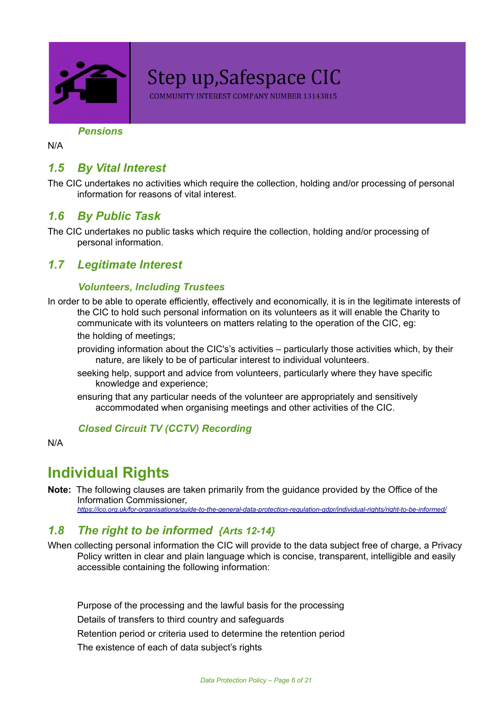

COMMUNITY INTEREST COMPANY NUMBER 13143815

*Pensions*

N/A

#### <span id="page-5-1"></span>*1.5 By Vital Interest*

The CIC undertakes no activities which require the collection, holding and/or processing of personal information for reasons of vital interest.

#### <span id="page-5-2"></span>*1.6 By Public Task*

The CIC undertakes no public tasks which require the collection, holding and/or processing of personal information.

#### <span id="page-5-3"></span>*1.7 Legitimate Interest*

#### *Volunteers, Including Trustees*

In order to be able to operate efficiently, effectively and economically, it is in the legitimate interests of the CIC to hold such personal information on its volunteers as it will enable the Charity to communicate with its volunteers on matters relating to the operation of the CIC, eg:

the holding of meetings;

providing information about the CIC's's activities – particularly those activities which, by their nature, are likely to be of particular interest to individual volunteers.

- seeking help, support and advice from volunteers, particularly where they have specific knowledge and experience;
- ensuring that any particular needs of the volunteer are appropriately and sensitively accommodated when organising meetings and other activities of the CIC.

#### *Closed Circuit TV (CCTV) Recording*

<span id="page-5-0"></span>N/A

### **Individual Rights**

**Note:** The following clauses are taken primarily from the guidance provided by the Office of the Information Commissioner,

*<https://ico.org.uk/for-organisations/guide-to-the-general-data-protection-regulation-gdpr/individual-rights/right-to-be-informed/>*

#### <span id="page-5-4"></span>*1.8 The right to be informed {Arts 12-14}*

When collecting personal information the CIC will provide to the data subject free of charge, a Privacy Policy written in clear and plain language which is concise, transparent, intelligible and easily accessible containing the following information:

Purpose of the processing and the lawful basis for the processing Details of transfers to third country and safeguards Retention period or criteria used to determine the retention period The existence of each of data subject's rights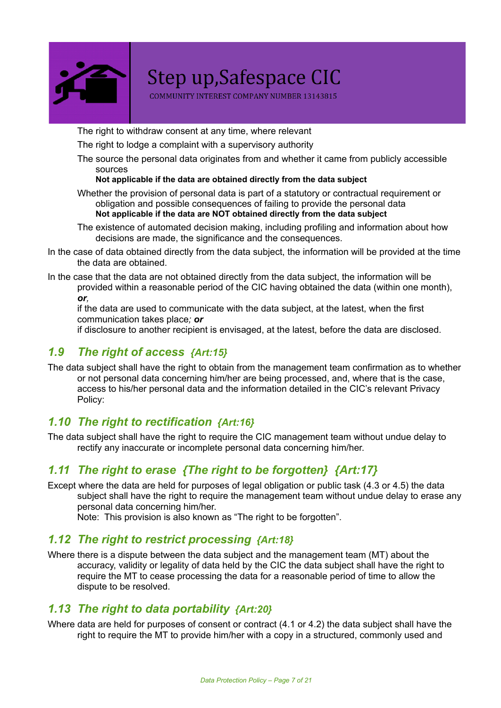

COMMUNITY INTEREST COMPANY NUMBER 13143815

The right to withdraw consent at any time, where relevant

The right to lodge a complaint with a supervisory authority

The source the personal data originates from and whether it came from publicly accessible sources

#### **Not applicable if the data are obtained directly from the data subject**

- Whether the provision of personal data is part of a statutory or contractual requirement or obligation and possible consequences of failing to provide the personal data **Not applicable if the data are NOT obtained directly from the data subject**
- The existence of automated decision making, including profiling and information about how decisions are made, the significance and the consequences.
- In the case of data obtained directly from the data subject, the information will be provided at the time the data are obtained.
- In the case that the data are not obtained directly from the data subject, the information will be provided within a reasonable period of the CIC having obtained the data (within one month), *or,*

if the data are used to communicate with the data subject, at the latest, when the first communication takes place*; or*

if disclosure to another recipient is envisaged, at the latest, before the data are disclosed.

#### <span id="page-6-0"></span>*1.9 The right of access {Art:15}*

The data subject shall have the right to obtain from the management team confirmation as to whether or not personal data concerning him/her are being processed, and, where that is the case, access to his/her personal data and the information detailed in the CIC's relevant Privacy Policy:

#### <span id="page-6-1"></span>*1.10 The right to rectification {Art:16}*

The data subject shall have the right to require the CIC management team without undue delay to rectify any inaccurate or incomplete personal data concerning him/her.

#### <span id="page-6-2"></span>*1.11 The right to erase {The right to be forgotten} {Art:17}*

Except where the data are held for purposes of legal obligation or public task (4.3 or 4.5) the data subject shall have the right to require the management team without undue delay to erase any personal data concerning him/her.

Note: This provision is also known as "The right to be forgotten".

#### <span id="page-6-3"></span>*1.12 The right to restrict processing {Art:18}*

Where there is a dispute between the data subject and the management team (MT) about the accuracy, validity or legality of data held by the CIC the data subject shall have the right to require the MT to cease processing the data for a reasonable period of time to allow the dispute to be resolved.

#### <span id="page-6-4"></span>*1.13 The right to data portability {Art:20}*

Where data are held for purposes of consent or contract (4.1 or 4.2) the data subject shall have the right to require the MT to provide him/her with a copy in a structured, commonly used and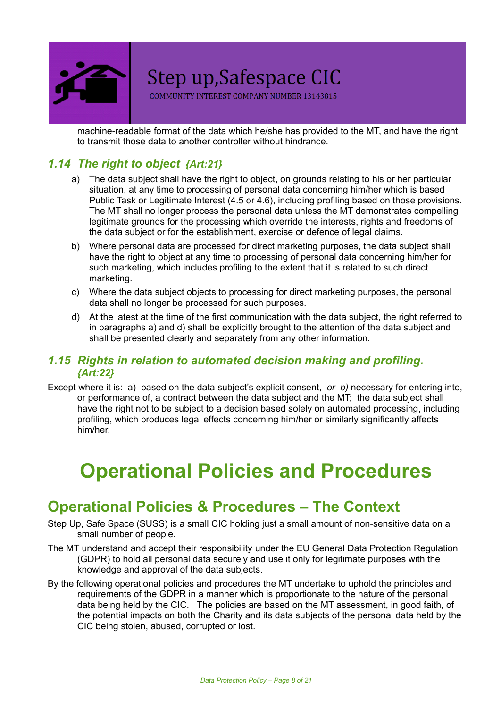

COMMUNITY INTEREST COMPANY NUMBER 13143815

machine-readable format of the data which he/she has provided to the MT, and have the right to transmit those data to another controller without hindrance.

#### <span id="page-7-1"></span>*1.14 The right to object {Art:21}*

- a) The data subject shall have the right to object, on grounds relating to his or her particular situation, at any time to processing of personal data concerning him/her which is based Public Task or Legitimate Interest (4.5 or 4.6), including profiling based on those provisions. The MT shall no longer process the personal data unless the MT demonstrates compelling legitimate grounds for the processing which override the interests, rights and freedoms of the data subject or for the establishment, exercise or defence of legal claims.
- b) Where personal data are processed for direct marketing purposes, the data subject shall have the right to object at any time to processing of personal data concerning him/her for such marketing, which includes profiling to the extent that it is related to such direct marketing.
- c) Where the data subject objects to processing for direct marketing purposes, the personal data shall no longer be processed for such purposes.
- d) At the latest at the time of the first communication with the data subject, the right referred to in paragraphs a) and d) shall be explicitly brought to the attention of the data subject and shall be presented clearly and separately from any other information.

#### <span id="page-7-2"></span>*1.15 Rights in relation to automated decision making and profiling. {Art:22}*

Except where it is: a) based on the data subject's explicit consent, *or b)* necessary for entering into, or performance of, a contract between the data subject and the MT; the data subject shall have the right not to be subject to a decision based solely on automated processing, including profiling, which produces legal effects concerning him/her or similarly significantly affects him/her.

# **Operational Policies and Procedures**

# <span id="page-7-0"></span>**Operational Policies & Procedures – The Context**

- Step Up, Safe Space (SUSS) is a small CIC holding just a small amount of non-sensitive data on a small number of people.
- The MT understand and accept their responsibility under the EU General Data Protection Regulation (GDPR) to hold all personal data securely and use it only for legitimate purposes with the knowledge and approval of the data subjects.
- By the following operational policies and procedures the MT undertake to uphold the principles and requirements of the GDPR in a manner which is proportionate to the nature of the personal data being held by the CIC. The policies are based on the MT assessment, in good faith, of the potential impacts on both the Charity and its data subjects of the personal data held by the CIC being stolen, abused, corrupted or lost.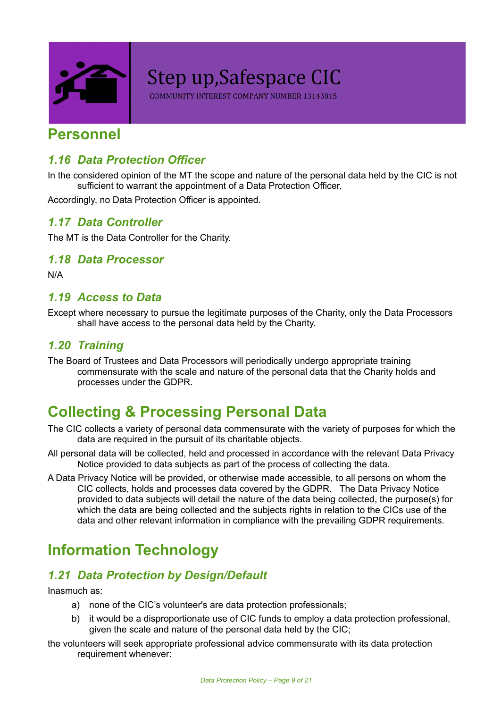

COMMUNITY INTEREST COMPANY NUMBER 13143815

#### <span id="page-8-0"></span>**Personnel**

#### <span id="page-8-3"></span>*1.16 Data Protection Officer*

In the considered opinion of the MT the scope and nature of the personal data held by the CIC is not sufficient to warrant the appointment of a Data Protection Officer.

<span id="page-8-4"></span>Accordingly, no Data Protection Officer is appointed.

#### *1.17 Data Controller*

<span id="page-8-5"></span>The MT is the Data Controller for the Charity.

#### *1.18 Data Processor*

<span id="page-8-6"></span>N/A

#### *1.19 Access to Data*

Except where necessary to pursue the legitimate purposes of the Charity, only the Data Processors shall have access to the personal data held by the Charity.

#### <span id="page-8-7"></span>*1.20 Training*

The Board of Trustees and Data Processors will periodically undergo appropriate training commensurate with the scale and nature of the personal data that the Charity holds and processes under the GDPR.

# <span id="page-8-1"></span>**Collecting & Processing Personal Data**

- The CIC collects a variety of personal data commensurate with the variety of purposes for which the data are required in the pursuit of its charitable objects.
- All personal data will be collected, held and processed in accordance with the relevant Data Privacy Notice provided to data subjects as part of the process of collecting the data.
- A Data Privacy Notice will be provided, or otherwise made accessible, to all persons on whom the CIC collects, holds and processes data covered by the GDPR. The Data Privacy Notice provided to data subjects will detail the nature of the data being collected, the purpose(s) for which the data are being collected and the subjects rights in relation to the CICs use of the data and other relevant information in compliance with the prevailing GDPR requirements.

# <span id="page-8-2"></span>**Information Technology**

#### <span id="page-8-8"></span>*1.21 Data Protection by Design/Default*

Inasmuch as:

- a) none of the CIC's volunteer's are data protection professionals;
- b) it would be a disproportionate use of CIC funds to employ a data protection professional, given the scale and nature of the personal data held by the CIC;
- the volunteers will seek appropriate professional advice commensurate with its data protection requirement whenever: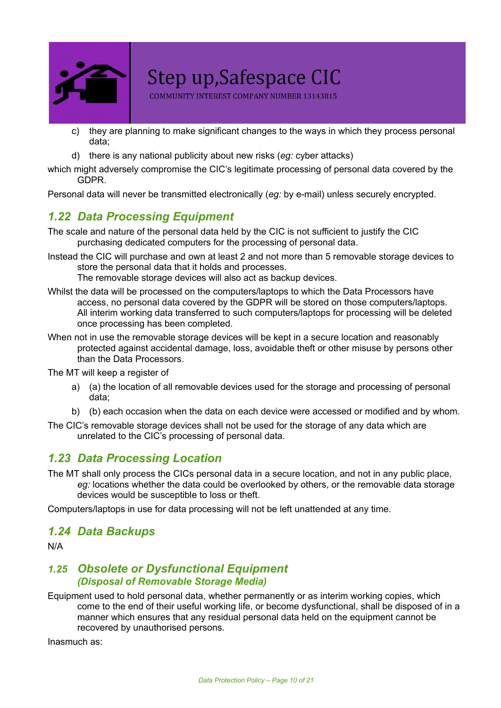

COMMUNITY INTEREST COMPANY NUMBER 13143815

- c) they are planning to make significant changes to the ways in which they process personal data;
- d) there is any national publicity about new risks (*eg:* cyber attacks)
- which might adversely compromise the CIC's legitimate processing of personal data covered by the GDPR.

<span id="page-9-0"></span>Personal data will never be transmitted electronically (*eg:* by e-mail) unless securely encrypted.

#### *1.22 Data Processing Equipment*

- The scale and nature of the personal data held by the CIC is not sufficient to justify the CIC purchasing dedicated computers for the processing of personal data.
- Instead the CIC will purchase and own at least 2 and not more than 5 removable storage devices to store the personal data that it holds and processes.

The removable storage devices will also act as backup devices.

- Whilst the data will be processed on the computers/laptops to which the Data Processors have access, no personal data covered by the GDPR will be stored on those computers/laptops. All interim working data transferred to such computers/laptops for processing will be deleted once processing has been completed.
- When not in use the removable storage devices will be kept in a secure location and reasonably protected against accidental damage, loss, avoidable theft or other misuse by persons other than the Data Processors.

The MT will keep a register of

- a) (a) the location of all removable devices used for the storage and processing of personal data;
- b) (b) each occasion when the data on each device were accessed or modified and by whom.
- The CIC's removable storage devices shall not be used for the storage of any data which are unrelated to the CIC's processing of personal data.

#### <span id="page-9-1"></span>*1.23 Data Processing Location*

The MT shall only process the CICs personal data in a secure location, and not in any public place, *eg:* locations whether the data could be overlooked by others, or the removable data storage devices would be susceptible to loss or theft.

<span id="page-9-2"></span>Computers/laptops in use for data processing will not be left unattended at any time.

#### *1.24 Data Backups*

N/A

#### <span id="page-9-3"></span>*1.25 Obsolete or Dysfunctional Equipment (Disposal of Removable Storage Media)*

Equipment used to hold personal data, whether permanently or as interim working copies, which come to the end of their useful working life, or become dysfunctional, shall be disposed of in a manner which ensures that any residual personal data held on the equipment cannot be recovered by unauthorised persons.

Inasmuch as: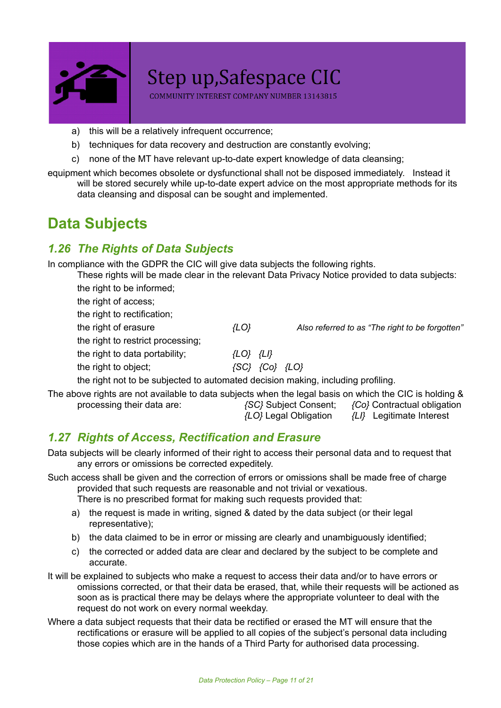

COMMUNITY INTEREST COMPANY NUMBER 13143815

- a) this will be a relatively infrequent occurrence;
- b) techniques for data recovery and destruction are constantly evolving;
- c) none of the MT have relevant up-to-date expert knowledge of data cleansing;

equipment which becomes obsolete or dysfunctional shall not be disposed immediately. Instead it will be stored securely while up-to-date expert advice on the most appropriate methods for its data cleansing and disposal can be sought and implemented.

# <span id="page-10-0"></span>**Data Subjects**

#### <span id="page-10-1"></span>*1.26 The Rights of Data Subjects*

In compliance with the GDPR the CIC will give data subjects the following rights.

These rights will be made clear in the relevant Data Privacy Notice provided to data subjects:

the right to be informed;

the right of access; the right to rectification; the right of erasure *{LO} Also referred to as "The right to be forgotten"*

the right to restrict processing;

the right to data portability; *{LO} {LI}*

the right to object; *{SC} {Co} {LO}*

the right not to be subjected to automated decision making, including profiling.

The above rights are not available to data subjects when the legal basis on which the CIC is holding & processing their data are: *{SC}* Subject Consent; *{Co}* Contractual obligation

*{LO}* Legal Obligation *{LI}* Legitimate Interest

#### <span id="page-10-2"></span>*1.27 Rights of Access, Rectification and Erasure*

Data subjects will be clearly informed of their right to access their personal data and to request that any errors or omissions be corrected expeditely.

- Such access shall be given and the correction of errors or omissions shall be made free of charge provided that such requests are reasonable and not trivial or vexatious. There is no prescribed format for making such requests provided that:
	- a) the request is made in writing, signed & dated by the data subject (or their legal representative);
	- b) the data claimed to be in error or missing are clearly and unambiguously identified;
	- c) the corrected or added data are clear and declared by the subject to be complete and accurate.
- It will be explained to subjects who make a request to access their data and/or to have errors or omissions corrected, or that their data be erased, that, while their requests will be actioned as soon as is practical there may be delays where the appropriate volunteer to deal with the request do not work on every normal weekday.
- Where a data subject requests that their data be rectified or erased the MT will ensure that the rectifications or erasure will be applied to all copies of the subject's personal data including those copies which are in the hands of a Third Party for authorised data processing.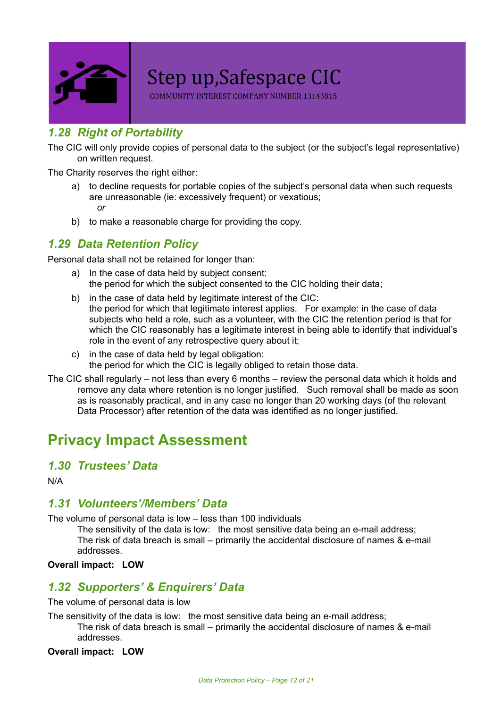

COMMUNITY INTEREST COMPANY NUMBER 13143815

#### <span id="page-11-1"></span>*1.28 Right of Portability*

The CIC will only provide copies of personal data to the subject (or the subject's legal representative) on written request.

The Charity reserves the right either:

- a) to decline requests for portable copies of the subject's personal data when such requests are unreasonable (ie: excessively frequent) or vexatious; *or*
- b) to make a reasonable charge for providing the copy.

#### <span id="page-11-2"></span>*1.29 Data Retention Policy*

Personal data shall not be retained for longer than:

- a) In the case of data held by subject consent: the period for which the subject consented to the CIC holding their data;
- b) in the case of data held by legitimate interest of the CIC: the period for which that legitimate interest applies. For example: in the case of data subjects who held a role, such as a volunteer, with the CIC the retention period is that for which the CIC reasonably has a legitimate interest in being able to identify that individual's role in the event of any retrospective query about it;
- c) in the case of data held by legal obligation: the period for which the CIC is legally obliged to retain those data.
- The CIC shall regularly not less than every 6 months review the personal data which it holds and remove any data where retention is no longer justified. Such removal shall be made as soon as is reasonably practical, and in any case no longer than 20 working days (of the relevant Data Processor) after retention of the data was identified as no longer justified.

### <span id="page-11-0"></span>**Privacy Impact Assessment**

#### <span id="page-11-3"></span>*1.30 Trustees' Data*

<span id="page-11-4"></span>N/A

#### *1.31 Volunteers'/Members' Data*

The volume of personal data is low – less than 100 individuals

The sensitivity of the data is low: the most sensitive data being an e-mail address; The risk of data breach is small – primarily the accidental disclosure of names & e-mail addresses.

<span id="page-11-5"></span>**Overall impact: LOW**

#### *1.32 Supporters' & Enquirers' Data*

The volume of personal data is low

The sensitivity of the data is low: the most sensitive data being an e-mail address; The risk of data breach is small – primarily the accidental disclosure of names & e-mail addresses.

#### **Overall impact: LOW**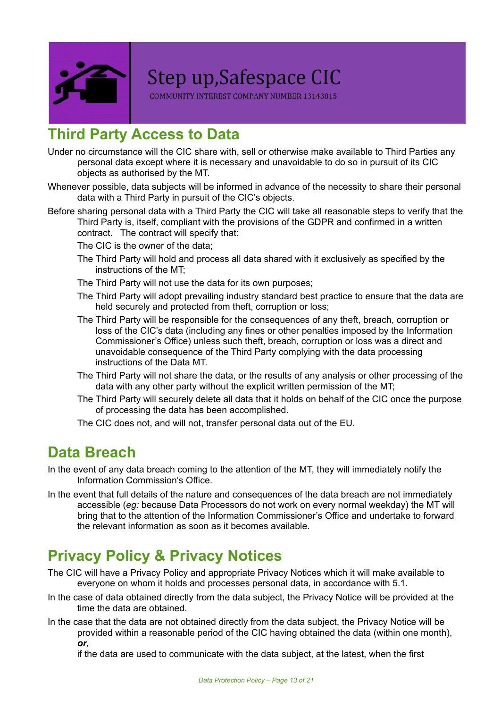

COMMUNITY INTEREST COMPANY NUMBER 13143815

# <span id="page-12-0"></span>**Third Party Access to Data**

- Under no circumstance will the CIC share with, sell or otherwise make available to Third Parties any personal data except where it is necessary and unavoidable to do so in pursuit of its CIC objects as authorised by the MT.
- Whenever possible, data subjects will be informed in advance of the necessity to share their personal data with a Third Party in pursuit of the CIC's objects.
- Before sharing personal data with a Third Party the CIC will take all reasonable steps to verify that the Third Party is, itself, compliant with the provisions of the GDPR and confirmed in a written contract. The contract will specify that:

The CIC is the owner of the data;

- The Third Party will hold and process all data shared with it exclusively as specified by the instructions of the MT;
- The Third Party will not use the data for its own purposes;
- The Third Party will adopt prevailing industry standard best practice to ensure that the data are held securely and protected from theft, corruption or loss;
- The Third Party will be responsible for the consequences of any theft, breach, corruption or loss of the CIC's data (including any fines or other penalties imposed by the Information Commissioner's Office) unless such theft, breach, corruption or loss was a direct and unavoidable consequence of the Third Party complying with the data processing instructions of the Data MT.
- The Third Party will not share the data, or the results of any analysis or other processing of the data with any other party without the explicit written permission of the MT;
- The Third Party will securely delete all data that it holds on behalf of the CIC once the purpose of processing the data has been accomplished.
- The CIC does not, and will not, transfer personal data out of the EU.

### <span id="page-12-1"></span>**Data Breach**

In the event of any data breach coming to the attention of the MT, they will immediately notify the Information Commission's Office.

In the event that full details of the nature and consequences of the data breach are not immediately accessible (*eg:* because Data Processors do not work on every normal weekday) the MT will bring that to the attention of the Information Commissioner's Office and undertake to forward the relevant information as soon as it becomes available.

# <span id="page-12-2"></span>**Privacy Policy & Privacy Notices**

- The CIC will have a Privacy Policy and appropriate Privacy Notices which it will make available to everyone on whom it holds and processes personal data, in accordance with 5.1.
- In the case of data obtained directly from the data subject, the Privacy Notice will be provided at the time the data are obtained.
- In the case that the data are not obtained directly from the data subject, the Privacy Notice will be provided within a reasonable period of the CIC having obtained the data (within one month),

*or,* if the data are used to communicate with the data subject, at the latest, when the first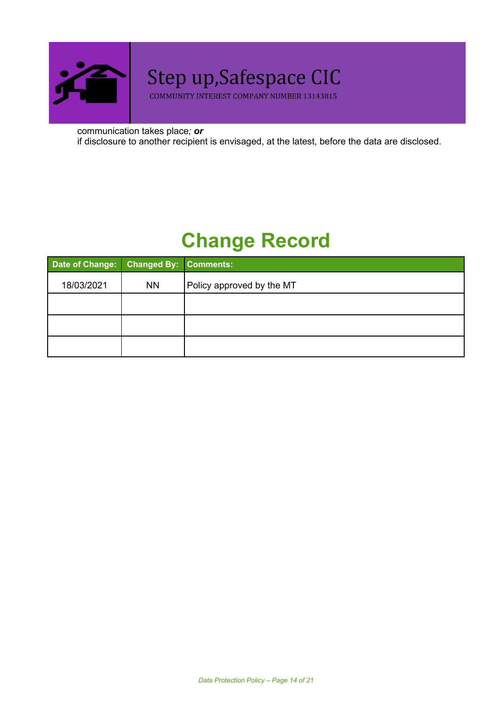

COMMUNITY INTEREST COMPANY NUMBER 13143815

communication takes place*; or* if disclosure to another recipient is envisaged, at the latest, before the data are disclosed.

# **Change Record**

| Date of Change: Changed By: Comments: |           |                           |
|---------------------------------------|-----------|---------------------------|
| 18/03/2021                            | <b>NN</b> | Policy approved by the MT |
|                                       |           |                           |
|                                       |           |                           |
|                                       |           |                           |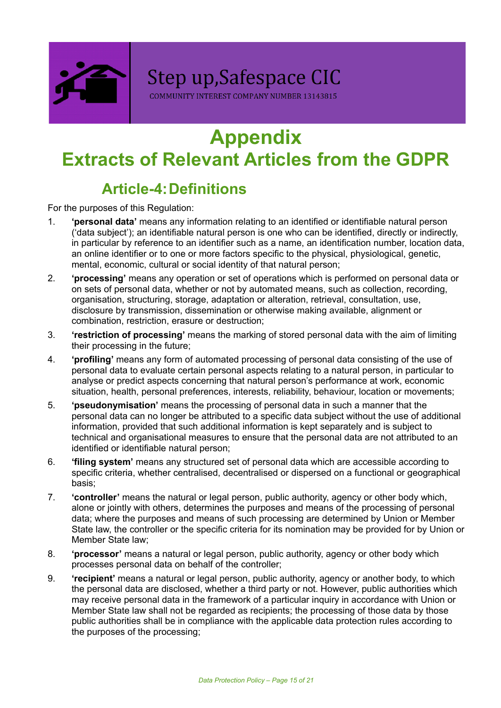

COMMUNITY INTEREST COMPANY NUMBER 13143815

# **Appendix Extracts of Relevant Articles from the GDPR**

# **Article-4:Definitions**

For the purposes of this Regulation:

- 1. **'personal data'** means any information relating to an identified or identifiable natural person ('data subject'); an identifiable natural person is one who can be identified, directly or indirectly, in particular by reference to an identifier such as a name, an identification number, location data, an online identifier or to one or more factors specific to the physical, physiological, genetic, mental, economic, cultural or social identity of that natural person;
- 2. **'processing'** means any operation or set of operations which is performed on personal data or on sets of personal data, whether or not by automated means, such as collection, recording, organisation, structuring, storage, adaptation or alteration, retrieval, consultation, use, disclosure by transmission, dissemination or otherwise making available, alignment or combination, restriction, erasure or destruction;
- 3. **'restriction of processing'** means the marking of stored personal data with the aim of limiting their processing in the future;
- 4. **'profiling'** means any form of automated processing of personal data consisting of the use of personal data to evaluate certain personal aspects relating to a natural person, in particular to analyse or predict aspects concerning that natural person's performance at work, economic situation, health, personal preferences, interests, reliability, behaviour, location or movements;
- 5. **'pseudonymisation'** means the processing of personal data in such a manner that the personal data can no longer be attributed to a specific data subject without the use of additional information, provided that such additional information is kept separately and is subject to technical and organisational measures to ensure that the personal data are not attributed to an identified or identifiable natural person;
- 6. **'filing system'** means any structured set of personal data which are accessible according to specific criteria, whether centralised, decentralised or dispersed on a functional or geographical basis;
- 7. **'controller'** means the natural or legal person, public authority, agency or other body which, alone or jointly with others, determines the purposes and means of the processing of personal data; where the purposes and means of such processing are determined by Union or Member State law, the controller or the specific criteria for its nomination may be provided for by Union or Member State law;
- 8. **'processor'** means a natural or legal person, public authority, agency or other body which processes personal data on behalf of the controller;
- 9. **'recipient'** means a natural or legal person, public authority, agency or another body, to which the personal data are disclosed, whether a third party or not. However, public authorities which may receive personal data in the framework of a particular inquiry in accordance with Union or Member State law shall not be regarded as recipients; the processing of those data by those public authorities shall be in compliance with the applicable data protection rules according to the purposes of the processing;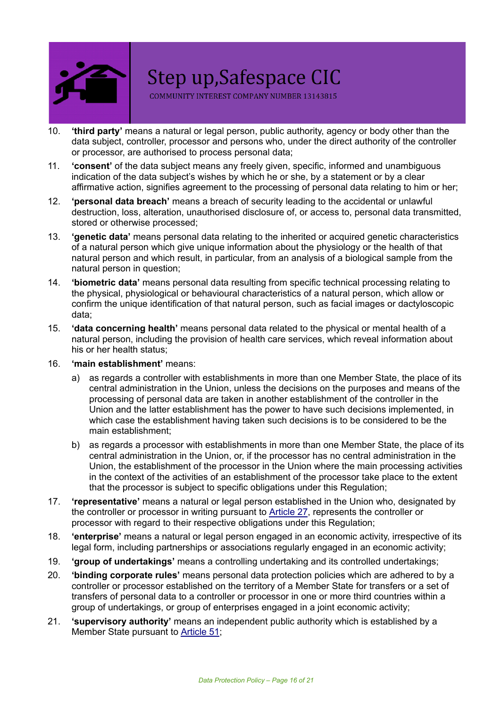

COMMUNITY INTEREST COMPANY NUMBER 13143815

- 10. **'third party'** means a natural or legal person, public authority, agency or body other than the data subject, controller, processor and persons who, under the direct authority of the controller or processor, are authorised to process personal data;
- 11. **'consent'** of the data subject means any freely given, specific, informed and unambiguous indication of the data subject's wishes by which he or she, by a statement or by a clear affirmative action, signifies agreement to the processing of personal data relating to him or her;
- 12. **'personal data breach'** means a breach of security leading to the accidental or unlawful destruction, loss, alteration, unauthorised disclosure of, or access to, personal data transmitted, stored or otherwise processed;
- 13. **'genetic data'** means personal data relating to the inherited or acquired genetic characteristics of a natural person which give unique information about the physiology or the health of that natural person and which result, in particular, from an analysis of a biological sample from the natural person in question;
- 14. **'biometric data'** means personal data resulting from specific technical processing relating to the physical, physiological or behavioural characteristics of a natural person, which allow or confirm the unique identification of that natural person, such as facial images or dactyloscopic data;
- 15. **'data concerning health'** means personal data related to the physical or mental health of a natural person, including the provision of health care services, which reveal information about his or her health status;

#### 16. **'main establishment'** means:

- a) as regards a controller with establishments in more than one Member State, the place of its central administration in the Union, unless the decisions on the purposes and means of the processing of personal data are taken in another establishment of the controller in the Union and the latter establishment has the power to have such decisions implemented, in which case the establishment having taken such decisions is to be considered to be the main establishment;
- b) as regards a processor with establishments in more than one Member State, the place of its central administration in the Union, or, if the processor has no central administration in the Union, the establishment of the processor in the Union where the main processing activities in the context of the activities of an establishment of the processor take place to the extent that the processor is subject to specific obligations under this Regulation;
- 17. **'representative'** means a natural or legal person established in the Union who, designated by the controller or processor in writing pursuant to [Article](https://gdpr-info.eu/art-27-gdpr/) 27, represents the controller or processor with regard to their respective obligations under this Regulation;
- 18. **'enterprise'** means a natural or legal person engaged in an economic activity, irrespective of its legal form, including partnerships or associations regularly engaged in an economic activity;
- 19. **'group of undertakings'** means a controlling undertaking and its controlled undertakings;
- 20. **'binding corporate rules'** means personal data protection policies which are adhered to by a controller or processor established on the territory of a Member State for transfers or a set of transfers of personal data to a controller or processor in one or more third countries within a group of undertakings, or group of enterprises engaged in a joint economic activity;
- 21. **'supervisory authority'** means an independent public authority which is established by a Member State pursuant to [Article](https://gdpr-info.eu/art-51-gdpr/) 51;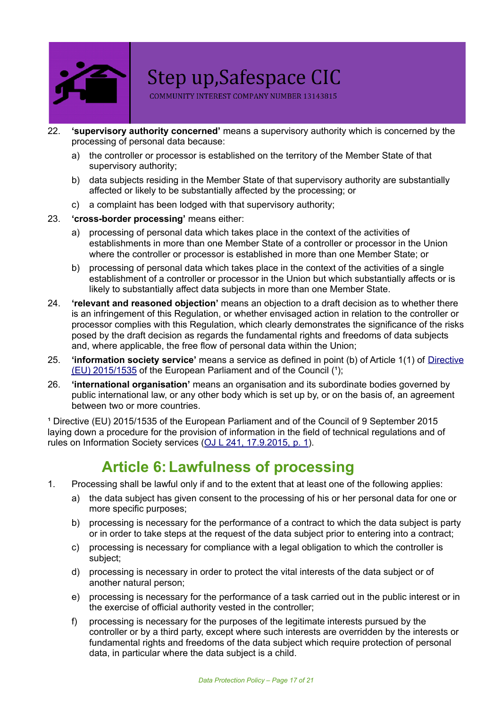

COMMUNITY INTEREST COMPANY NUMBER 13143815

- 22. **'supervisory authority concerned'** means a supervisory authority which is concerned by the processing of personal data because:
	- a) the controller or processor is established on the territory of the Member State of that supervisory authority;
	- b) data subjects residing in the Member State of that supervisory authority are substantially affected or likely to be substantially affected by the processing; or
	- c) a complaint has been lodged with that supervisory authority;
- 23. **'cross-border processing'** means either:
	- a) processing of personal data which takes place in the context of the activities of establishments in more than one Member State of a controller or processor in the Union where the controller or processor is established in more than one Member State; or
	- b) processing of personal data which takes place in the context of the activities of a single establishment of a controller or processor in the Union but which substantially affects or is likely to substantially affect data subjects in more than one Member State.
- 24. **'relevant and reasoned objection'** means an objection to a draft decision as to whether there is an infringement of this Regulation, or whether envisaged action in relation to the controller or processor complies with this Regulation, which clearly demonstrates the significance of the risks posed by the draft decision as regards the fundamental rights and freedoms of data subjects and, where applicable, the free flow of personal data within the Union;
- 25. **'information society service'** means a service as defined in point (b) of Article 1(1) of [Directive](http://eur-lex.europa.eu/legal-content/EN/TXT/HTML/?uri=CELEX:32015L1535)  $(EU)$  [2015/1535](http://eur-lex.europa.eu/legal-content/EN/TXT/HTML/?uri=CELEX:32015L1535) of the European Parliament and of the Council  $(1)$ ;
- 26. **'international organisation'** means an organisation and its subordinate bodies governed by public international law, or any other body which is set up by, or on the basis of, an agreement between two or more countries.

<sup>1</sup> Directive (EU) 2015/1535 of the European Parliament and of the Council of 9 September 2015 laying down a procedure for the provision of information in the field of technical regulations and of rules on Information Society services (OJ L 241, [17.9.2015,](http://eur-lex.europa.eu/legal-content/EN/AUTO/?uri=OJ:L:2015:241:TOC) p. 1).

# **Article 6:Lawfulness of processing**

- 1. Processing shall be lawful only if and to the extent that at least one of the following applies:
	- a) the data subject has given consent to the processing of his or her personal data for one or more specific purposes;
	- b) processing is necessary for the performance of a contract to which the data subject is party or in order to take steps at the request of the data subject prior to entering into a contract;
	- c) processing is necessary for compliance with a legal obligation to which the controller is subject;
	- d) processing is necessary in order to protect the vital interests of the data subject or of another natural person;
	- e) processing is necessary for the performance of a task carried out in the public interest or in the exercise of official authority vested in the controller;
	- f) processing is necessary for the purposes of the legitimate interests pursued by the controller or by a third party, except where such interests are overridden by the interests or fundamental rights and freedoms of the data subject which require protection of personal data, in particular where the data subject is a child.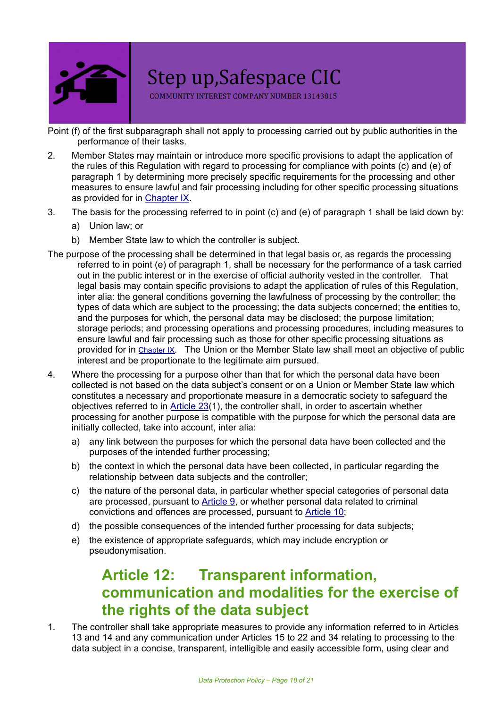

COMMUNITY INTEREST COMPANY NUMBER 13143815

Point (f) of the first subparagraph shall not apply to processing carried out by public authorities in the performance of their tasks.

- 2. Member States may maintain or introduce more specific provisions to adapt the application of the rules of this Regulation with regard to processing for compliance with points (c) and (e) of paragraph 1 by determining more precisely specific requirements for the processing and other measures to ensure lawful and fair processing including for other specific processing situations as provided for in [Chapter](https://gdpr-info.eu/chapter-9/) IX.
- 3. The basis for the processing referred to in point (c) and (e) of paragraph 1 shall be laid down by:
	- a) Union law; or
	- b) Member State law to which the controller is subject.
- The purpose of the processing shall be determined in that legal basis or, as regards the processing referred to in point (e) of paragraph 1, shall be necessary for the performance of a task carried out in the public interest or in the exercise of official authority vested in the controller. That legal basis may contain specific provisions to adapt the application of rules of this Regulation, inter alia: the general conditions governing the lawfulness of processing by the controller; the types of data which are subject to the processing; the data subjects concerned; the entities to, and the purposes for which, the personal data may be disclosed; the purpose limitation; storage periods; and processing operations and processing procedures, including measures to ensure lawful and fair processing such as those for other specific processing situations as provided for in [Chapter IX](https://gdpr-info.eu/chapter-9). The Union or the Member State law shall meet an objective of public interest and be proportionate to the legitimate aim pursued.
- 4. Where the processing for a purpose other than that for which the personal data have been collected is not based on the data subject's consent or on a Union or Member State law which constitutes a necessary and proportionate measure in a democratic society to safeguard the objectives referred to in [Article](https://gdpr-info.eu/art-23-gdpr/) 23(1), the controller shall, in order to ascertain whether processing for another purpose is compatible with the purpose for which the personal data are initially collected, take into account, inter alia:
	- a) any link between the purposes for which the personal data have been collected and the purposes of the intended further processing;
	- b) the context in which the personal data have been collected, in particular regarding the relationship between data subjects and the controller;
	- c) the nature of the personal data, in particular whether special categories of personal data are processed, pursuant to [Article](https://gdpr-info.eu/art-9-gdpr/) 9, or whether personal data related to criminal convictions and offences are processed, pursuant to [Article](https://gdpr-info.eu/art-10-gdpr/) 10;
	- d) the possible consequences of the intended further processing for data subjects;
	- e) the existence of appropriate safeguards, which may include encryption or pseudonymisation.

# **Article 12: Transparent information, communication and modalities for the exercise of the rights of the data subject**

1. The controller shall take appropriate measures to provide any information referred to in [Articles](https://gdpr-info.eu/art-13-gdpr/) [13](https://gdpr-info.eu/art-13-gdpr/) and [14](https://gdpr-info.eu/art-14-gdpr/) and any communication under [Articles](https://gdpr-info.eu/art-15-gdpr/) 15 to [22](https://gdpr-info.eu/art-22-gdpr/) and [34](https://gdpr-info.eu/art-34-gdpr/) relating to processing to the data subject in a concise, transparent, intelligible and easily accessible form, using clear and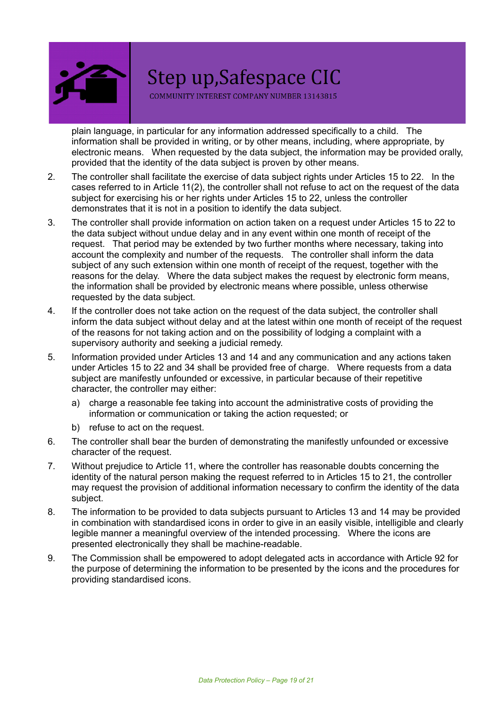

COMMUNITY INTEREST COMPANY NUMBER 13143815

plain language, in particular for any information addressed specifically to a child. The information shall be provided in writing, or by other means, including, where appropriate, by electronic means. When requested by the data subject, the information may be provided orally, provided that the identity of the data subject is proven by other means.

- 2. The controller shall facilitate the exercise of data subject rights under [Articles](https://gdpr-info.eu/art-15-gdpr/) 15 to [22](https://gdpr-info.eu/art-22-gdpr/). In the cases referred to in [Article](https://gdpr-info.eu/art-11-gdpr/) 11(2), the controller shall not refuse to act on the request of the data subject for exercising his or her rights under [Articles](https://gdpr-info.eu/art-15-gdpr/) 15 to [22](https://gdpr-info.eu/art-22-gdpr/), unless the controller demonstrates that it is not in a position to identify the data subject.
- 3. The controller shall provide information on action taken on a request under [Articles](https://gdpr-info.eu/art-15-gdpr/) 15 to [22](https://gdpr-info.eu/art-22-gdpr/) to the data subject without undue delay and in any event within one month of receipt of the request. That period may be extended by two further months where necessary, taking into account the complexity and number of the requests. The controller shall inform the data subject of any such extension within one month of receipt of the request, together with the reasons for the delay. Where the data subject makes the request by electronic form means, the information shall be provided by electronic means where possible, unless otherwise requested by the data subject.
- 4. If the controller does not take action on the request of the data subject, the controller shall inform the data subject without delay and at the latest within one month of receipt of the request of the reasons for not taking action and on the possibility of lodging a complaint with a supervisory authority and seeking a judicial remedy.
- 5. Information provided under [Articles](https://gdpr-info.eu/art-13-gdpr/) 13 and [14](https://gdpr-info.eu/art-14gdpr/) and any communication and any actions taken under [Articles](https://gdpr-info.eu/art-15-gdpr/) 15 to [22](https://gdpr-info.eu/art-22-gdpr/) and [34](https://gdpr-info.eu/art-34-gdpr/) shall be provided free of charge. Where requests from a data subject are manifestly unfounded or excessive, in particular because of their repetitive character, the controller may either:
	- a) charge a reasonable fee taking into account the administrative costs of providing the information or communication or taking the action requested; or
	- b) refuse to act on the request.
- 6. The controller shall bear the burden of demonstrating the manifestly unfounded or excessive character of the request.
- 7. Without prejudice to [Article](https://gdpr-info.eu/art-11-gdpr/) 11, where the controller has reasonable doubts concerning the identity of the natural person making the request referred to in [Articles](https://gdpr-info.eu/art-15-gdpr/) 15 to [21,](https://gdpr-info.eu/art-21-gdpr/) the controller may request the provision of additional information necessary to confirm the identity of the data subject.
- 8. The information to be provided to data subjects pursuant to [Articles](https://gdpr-info.eu/art-13-gdpr/) 13 and [14](https://gdpr-info.eu/art-14-gdpr/) may be provided in combination with standardised icons in order to give in an easily visible, intelligible and clearly legible manner a meaningful overview of the intended processing. Where the icons are presented electronically they shall be machine-readable.
- 9. The Commission shall be empowered to adopt delegated acts in accordance with [Article](https://gdpr-info.eu/art-92-gdpr/) 92 for the purpose of determining the information to be presented by the icons and the procedures for providing standardised icons.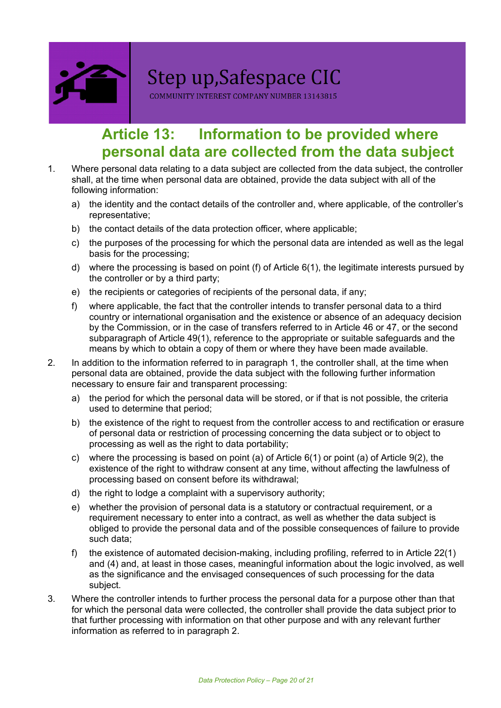

COMMUNITY INTEREST COMPANY NUMBER 13143815

# **Article 13: Information to be provided where personal data are collected from the data subject**

- 1. Where personal data relating to a data subject are collected from the data subject, the controller shall, at the time when personal data are obtained, provide the data subject with all of the following information:
	- a) the identity and the contact details of the controller and, where applicable, of the controller's representative;
	- b) the contact details of the data protection officer, where applicable;
	- c) the purposes of the processing for which the personal data are intended as well as the legal basis for the processing;
	- d) where the processing is based on point (f) of [Article](https://gdpr-info.eu/art-6-gdpr/) 6(1), the legitimate interests pursued by the controller or by a third party;
	- e) the recipients or categories of recipients of the personal data, if any;
	- f) where applicable, the fact that the controller intends to transfer personal data to a third country or international organisation and the existence or absence of an adequacy decision by the Commission, or in the case of transfers referred to in [Article](https://gdpr-info.eu/art-46-gdpr/) 46 or [47](https://gdpr-info.eu/art-47-gdpr/), or the second subparagraph of [Article](https://gdpr-info.eu/art-49-gdpr/) 49(1), reference to the appropriate or suitable safeguards and the means by which to obtain a copy of them or where they have been made available.
- 2. In addition to the information referred to in paragraph 1, the controller shall, at the time when personal data are obtained, provide the data subject with the following further information necessary to ensure fair and transparent processing:
	- a) the period for which the personal data will be stored, or if that is not possible, the criteria used to determine that period;
	- b) the existence of the right to request from the controller access to and rectification or erasure of personal data or restriction of processing concerning the data subject or to object to processing as well as the right to data portability;
	- c) where the processing is based on point (a) of [Article](https://gdpr-info.eu/art-9-gdpr/)  $6(1)$  or point (a) of Article  $9(2)$ , the existence of the right to withdraw consent at any time, without affecting the lawfulness of processing based on consent before its withdrawal;
	- d) the right to lodge a complaint with a supervisory authority;
	- e) whether the provision of personal data is a statutory or contractual requirement, or a requirement necessary to enter into a contract, as well as whether the data subject is obliged to provide the personal data and of the possible consequences of failure to provide such data;
	- f) the existence of automated decision-making, including profiling, referred to in [Article](https://gdpr-info.eu/art-22-gdpr/) 22(1) and (4) and, at least in those cases, meaningful information about the logic involved, as well as the significance and the envisaged consequences of such processing for the data subject.
- 3. Where the controller intends to further process the personal data for a purpose other than that for which the personal data were collected, the controller shall provide the data subject prior to that further processing with information on that other purpose and with any relevant further information as referred to in paragraph 2.